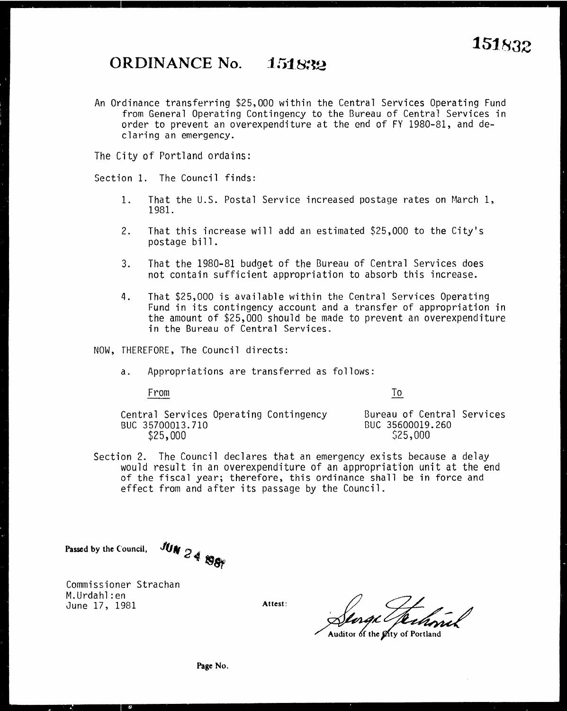## **ORDINANCE No. 151832**

An Ordinance transferring \$25,000 within the Central Services Operating Fund from General Operating Contingency to the Bureau of Central Services in order to prevent an overexpenditure at the end of FY 1980-81, and declaring an emergency.

The City of Portland ordains:

Section 1. The Council finds:

- 1. That the U.S. Postal Service increased postage rates on March 1, 1981.
- 2. That this increase will add an estimated \$25,000 to the City's postage bill.
- 3. That the 1980-81 budget of the Bureau of Central Services does not contain sufficient appropriation to absorb this increase.
- 4. That \$25,000 is available within the Central Services Operating Fund in its contingency account and a transfer of appropriation in the amount of \$25,000 should be made to prevent an overexpenditure in the Bureau of Central Services.

NOW, THEREFORE, The Council directs:

a. Appropriations are transferred as follows:

From

To

Central Services Operating Contingency BUC 35700013.710 \$25,000

Bureau of Central Services 8UC 35600019.260 \$25,000

Section 2. The Council declares that an emergency exists because a delay of the fiscal year; therefore, this ordinance shall be in force and effect from and after its passage by the Council.

Passed by the Council, *JUM* 2 4 **198** 

Commissioner Strachan M.Urdahl:en June 17, 1981

Allest: Senge Technick

Auditor of the Øtty of Portland